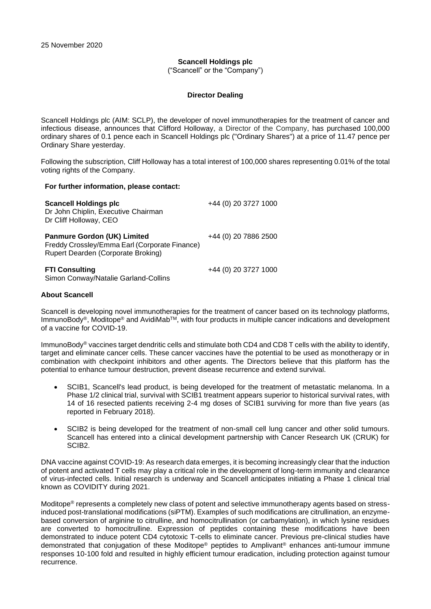# **Scancell Holdings plc**

("Scancell" or the "Company")

# **Director Dealing**

Scancell Holdings plc (AIM: SCLP), the developer of novel immunotherapies for the treatment of cancer and infectious disease, announces that Clifford Holloway, a Director of the Company, has purchased 100,000 ordinary shares of 0.1 pence each in Scancell Holdings plc ("Ordinary Shares") at a price of 11.47 pence per Ordinary Share yesterday.

Following the subscription, Cliff Holloway has a total interest of 100,000 shares representing 0.01% of the total voting rights of the Company.

### **For further information, please contact:**

| <b>Scancell Holdings plc</b><br>Dr John Chiplin, Executive Chairman<br>Dr Cliff Holloway, CEO                             | +44 (0) 20 3727 1000 |  |
|---------------------------------------------------------------------------------------------------------------------------|----------------------|--|
| <b>Panmure Gordon (UK) Limited</b><br>Freddy Crossley/Emma Earl (Corporate Finance)<br>Rupert Dearden (Corporate Broking) | +44 (0) 20 7886 2500 |  |
| <b>FTI Consulting</b><br>Simon Conway/Natalie Garland-Collins                                                             | +44 (0) 20 3727 1000 |  |

# **About Scancell**

Scancell is developing novel immunotherapies for the treatment of cancer based on its technology platforms, ImmunoBody®, Moditope® and AvidiMabTM, with four products in multiple cancer indications and development of a vaccine for COVID-19.

ImmunoBody® vaccines target dendritic cells and stimulate both CD4 and CD8 T cells with the ability to identify, target and eliminate cancer cells. These cancer vaccines have the potential to be used as monotherapy or in combination with checkpoint inhibitors and other agents. The Directors believe that this platform has the potential to enhance tumour destruction, prevent disease recurrence and extend survival.

- SCIB1, Scancell's lead product, is being developed for the treatment of metastatic melanoma. In a Phase 1/2 clinical trial, survival with SCIB1 treatment appears superior to historical survival rates, with 14 of 16 resected patients receiving 2-4 mg doses of SCIB1 surviving for more than five years (as reported in February 2018).
- SCIB2 is being developed for the treatment of non-small cell lung cancer and other solid tumours. Scancell has entered into a clinical development partnership with Cancer Research UK (CRUK) for SCIB2.

DNA vaccine against COVID-19: As research data emerges, it is becoming increasingly clear that the induction of potent and activated T cells may play a critical role in the development of long-term immunity and clearance of virus-infected cells. Initial research is underway and Scancell anticipates initiating a Phase 1 clinical trial known as COVIDITY during 2021.

Moditope® represents a completely new class of potent and selective immunotherapy agents based on stressinduced post-translational modifications (siPTM). Examples of such modifications are citrullination, an enzymebased conversion of arginine to citrulline, and homocitrullination (or carbamylation), in which lysine residues are converted to homocitrulline. Expression of peptides containing these modifications have been demonstrated to induce potent CD4 cytotoxic T-cells to eliminate cancer. Previous pre-clinical studies have demonstrated that conjugation of these Moditope® peptides to Amplivant® enhances anti-tumour immune responses 10-100 fold and resulted in highly efficient tumour eradication, including protection against tumour recurrence.